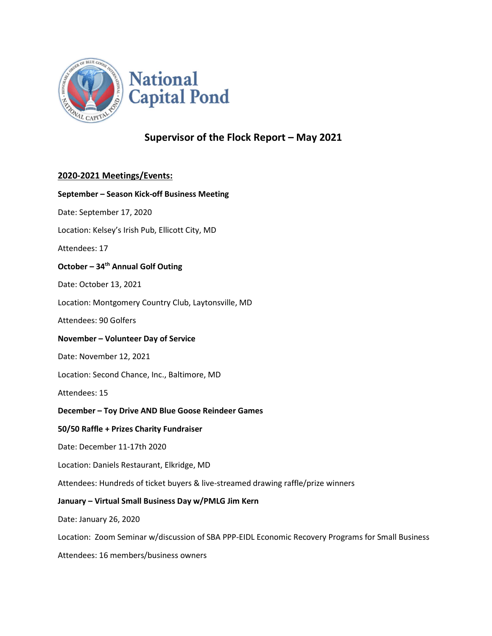

## Supervisor of the Flock Report – May 2021

### 2020-2021 Meetings/Events:

# September – Season Kick-off Business Meeting Date: September 17, 2020 Location: Kelsey's Irish Pub, Ellicott City, MD Attendees: 17 October – 34<sup>th</sup> Annual Golf Outing Date: October 13, 2021 Location: Montgomery Country Club, Laytonsville, MD Attendees: 90 Golfers November – Volunteer Day of Service Date: November 12, 2021 Location: Second Chance, Inc., Baltimore, MD Attendees: 15 December – Toy Drive AND Blue Goose Reindeer Games 50/50 Raffle + Prizes Charity Fundraiser Date: December 11-17th 2020 Location: Daniels Restaurant, Elkridge, MD Attendees: Hundreds of ticket buyers & live-streamed drawing raffle/prize winners January – Virtual Small Business Day w/PMLG Jim Kern Date: January 26, 2020 Location: Zoom Seminar w/discussion of SBA PPP-EIDL Economic Recovery Programs for Small Business

Attendees: 16 members/business owners